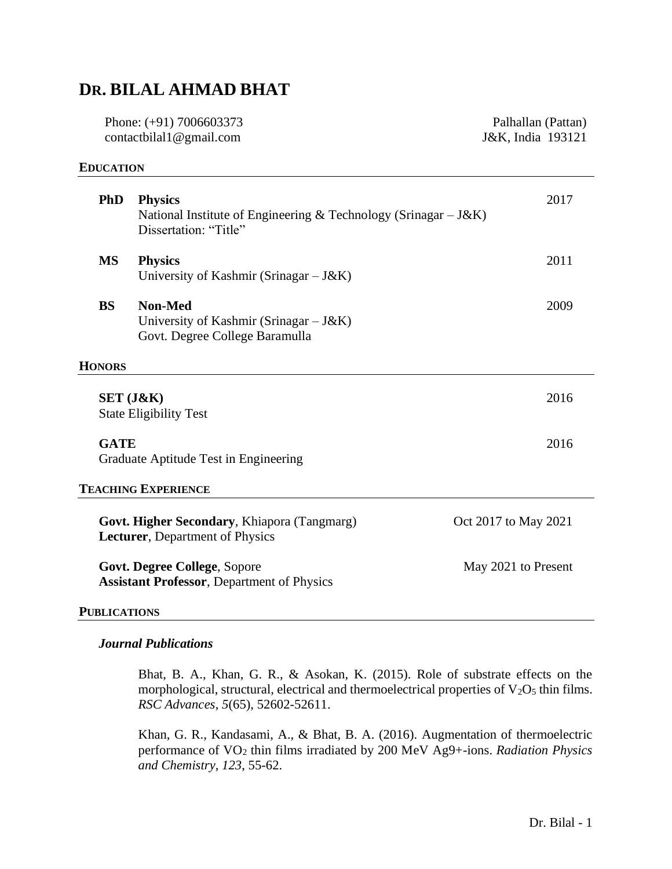# **DR. BILAL AHMAD BHAT**

Phone: (+91) 7006603373 contactbilal1@gmail.com

#### **EDUCATION**

**PhD Physics** 2017 National Institute of Engineering & Technology (Srinagar  $-J&K$ ) Dissertation: "Title" **MS Physics** 2011 University of Kashmir (Srinagar – J&K) **BS Non-Med** 2009 University of Kashmir (Srinagar – J&K) Govt. Degree College Baramulla **HONORS SET (J&K)** 2016 State Eligibility Test **GATE** 2016 Graduate Aptitude Test in Engineering **TEACHING EXPERIENCE Govt. Higher Secondary**, Khiapora (Tangmarg) Oct 2017 to May 2021 **Lecturer**, Department of Physics **Govt. Degree College**, Sopore May 2021 to Present **Assistant Professor**, Department of Physics

## **PUBLICATIONS**

#### *Journal Publications*

Bhat, B. A., Khan, G. R., & Asokan, K. (2015). Role of substrate effects on the morphological, structural, electrical and thermoelectrical properties of  $V_2O_5$  thin films. *RSC Advances*, *5*(65), 52602-52611.

Khan, G. R., Kandasami, A., & Bhat, B. A. (2016). Augmentation of thermoelectric performance of VO<sup>2</sup> thin films irradiated by 200 MeV Ag9+-ions. *Radiation Physics and Chemistry*, *123*, 55-62.

Palhallan (Pattan) J&K, India 193121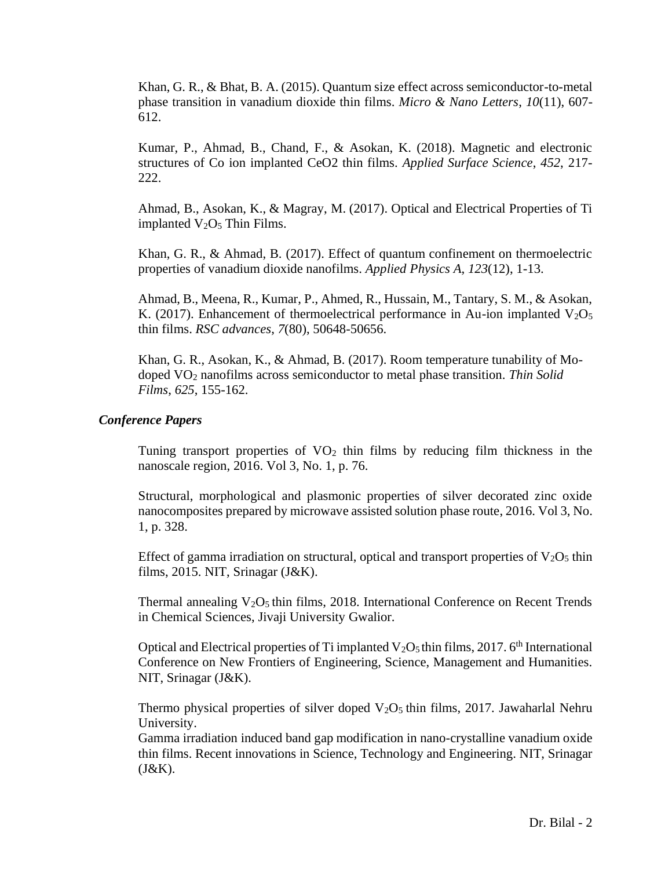Khan, G. R., & Bhat, B. A. (2015). Quantum size effect across semiconductor-to-metal phase transition in vanadium dioxide thin films. *Micro & Nano Letters*, *10*(11), 607- 612.

Kumar, P., Ahmad, B., Chand, F., & Asokan, K. (2018). Magnetic and electronic structures of Co ion implanted CeO2 thin films. *Applied Surface Science*, *452*, 217- 222.

Ahmad, B., Asokan, K., & Magray, M. (2017). Optical and Electrical Properties of Ti implanted  $V_2O_5$  Thin Films.

Khan, G. R., & Ahmad, B. (2017). Effect of quantum confinement on thermoelectric properties of vanadium dioxide nanofilms. *Applied Physics A*, *123*(12), 1-13.

Ahmad, B., Meena, R., Kumar, P., Ahmed, R., Hussain, M., Tantary, S. M., & Asokan, K. (2017). Enhancement of thermoelectrical performance in Au-ion implanted  $V_2O_5$ thin films. *RSC advances*, *7*(80), 50648-50656.

Khan, G. R., Asokan, K., & Ahmad, B. (2017). Room temperature tunability of Modoped VO<sup>2</sup> nanofilms across semiconductor to metal phase transition. *Thin Solid Films*, *625*, 155-162.

### *Conference Papers*

Tuning transport properties of  $VO<sub>2</sub>$  thin films by reducing film thickness in the nanoscale region, 2016. Vol 3, No. 1, p. 76.

Structural, morphological and plasmonic properties of silver decorated zinc oxide nanocomposites prepared by microwave assisted solution phase route, 2016. Vol 3, No. 1, p. 328.

Effect of gamma irradiation on structural, optical and transport properties of  $V_2O_5$  thin films, 2015. NIT, Srinagar (J&K).

Thermal annealing  $V_2O_5$  thin films, 2018. International Conference on Recent Trends in Chemical Sciences, Jivaji University Gwalior.

Optical and Electrical properties of Ti implanted  $V_2O_5$  thin films, 2017. 6<sup>th</sup> International Conference on New Frontiers of Engineering, Science, Management and Humanities. NIT, Srinagar (J&K).

Thermo physical properties of silver doped  $V_2O_5$  thin films, 2017. Jawaharlal Nehru University.

Gamma irradiation induced band gap modification in nano-crystalline vanadium oxide thin films. Recent innovations in Science, Technology and Engineering. NIT, Srinagar  $(J&K).$